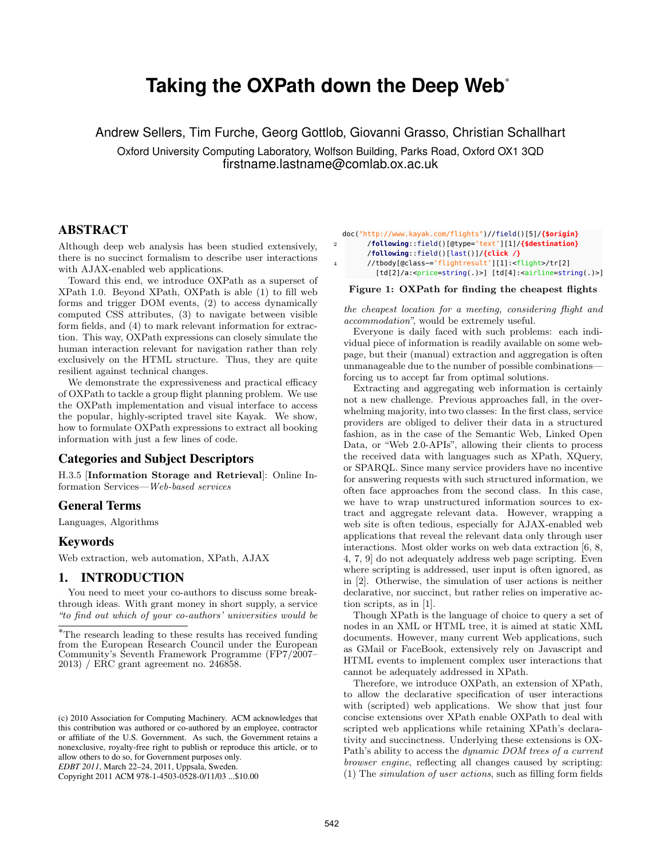# **Taking the OXPath down the Deep Web**<sup>∗</sup>

Andrew Sellers, Tim Furche, Georg Gottlob, Giovanni Grasso, Christian Schallhart

Oxford University Computing Laboratory, Wolfson Building, Parks Road, Oxford OX1 3QD firstname.lastname@comlab.ox.ac.uk

# ABSTRACT

Although deep web analysis has been studied extensively, there is no succinct formalism to describe user interactions with AJAX-enabled web applications.

Toward this end, we introduce OXPath as a superset of XPath 1.0. Beyond XPath, OXPath is able (1) to fill web forms and trigger DOM events, (2) to access dynamically computed CSS attributes, (3) to navigate between visible form fields, and (4) to mark relevant information for extraction. This way, OXPath expressions can closely simulate the human interaction relevant for navigation rather than rely exclusively on the HTML structure. Thus, they are quite resilient against technical changes.

We demonstrate the expressiveness and practical efficacy of OXPath to tackle a group flight planning problem. We use the OXPath implementation and visual interface to access the popular, highly-scripted travel site Kayak. We show, how to formulate OXPath expressions to extract all booking information with just a few lines of code.

#### Categories and Subject Descriptors

H.3.5 [Information Storage and Retrieval]: Online Information Services—Web-based services

#### General Terms

Languages, Algorithms

#### Keywords

Web extraction, web automation, XPath, AJAX

## 1. INTRODUCTION

You need to meet your co-authors to discuss some breakthrough ideas. With grant money in short supply, a service "to find out which of your co-authors' universities would be

Copyright 2011 ACM 978-1-4503-0528-0/11/03 ...\$10.00

doc("http://www.kayak.com/flights")//field()[5]/**{\$origin}**

```
2 /following::field()[@type='text'][1]/{$destination}
```

```
/following::field()[last()]/{click /}
```
4 //tbody[@class~='flightresult'][1]:<flight>/tr[2] [td[2]/a:<price=string(.)>] [td[4]:<airline=string(.)>]

#### Figure 1: OXPath for finding the cheapest flights

the cheapest location for a meeting, considering flight and accommodation", would be extremely useful.

Everyone is daily faced with such problems: each individual piece of information is readily available on some webpage, but their (manual) extraction and aggregation is often unmanageable due to the number of possible combinations forcing us to accept far from optimal solutions.

Extracting and aggregating web information is certainly not a new challenge. Previous approaches fall, in the overwhelming majority, into two classes: In the first class, service providers are obliged to deliver their data in a structured fashion, as in the case of the Semantic Web, Linked Open Data, or "Web 2.0-APIs", allowing their clients to process the received data with languages such as XPath, XQuery, or SPARQL. Since many service providers have no incentive for answering requests with such structured information, we often face approaches from the second class. In this case, we have to wrap unstructured information sources to extract and aggregate relevant data. However, wrapping a web site is often tedious, especially for AJAX-enabled web applications that reveal the relevant data only through user interactions. Most older works on web data extraction [6, 8, 4, 7, 9] do not adequately address web page scripting. Even where scripting is addressed, user input is often ignored, as in [2]. Otherwise, the simulation of user actions is neither declarative, nor succinct, but rather relies on imperative action scripts, as in [1].

Though XPath is the language of choice to query a set of nodes in an XML or HTML tree, it is aimed at static XML documents. However, many current Web applications, such as GMail or FaceBook, extensively rely on Javascript and HTML events to implement complex user interactions that cannot be adequately addressed in XPath.

Therefore, we introduce OXPath, an extension of XPath, to allow the declarative specification of user interactions with (scripted) web applications. We show that just four concise extensions over XPath enable OXPath to deal with scripted web applications while retaining XPath's declarativity and succinctness. Underlying these extensions is OX-Path's ability to access the *dynamic DOM trees of a current* browser engine, reflecting all changes caused by scripting: (1) The simulation of user actions, such as filling form fields

<sup>∗</sup>The research leading to these results has received funding from the European Research Council under the European Community's Seventh Framework Programme (FP7/2007– 2013) / ERC grant agreement no. 246858.

<sup>(</sup>c) 2010 Association for Computing Machinery. ACM acknowledges that this contribution was authored or co-authored by an employee, contractor or affiliate of the U.S. Government. As such, the Government retains a nonexclusive, royalty-free right to publish or reproduce this article, or to allow others to do so, for Government purposes only.

*EDBT 2011*, March 22–24, 2011, Uppsala, Sweden.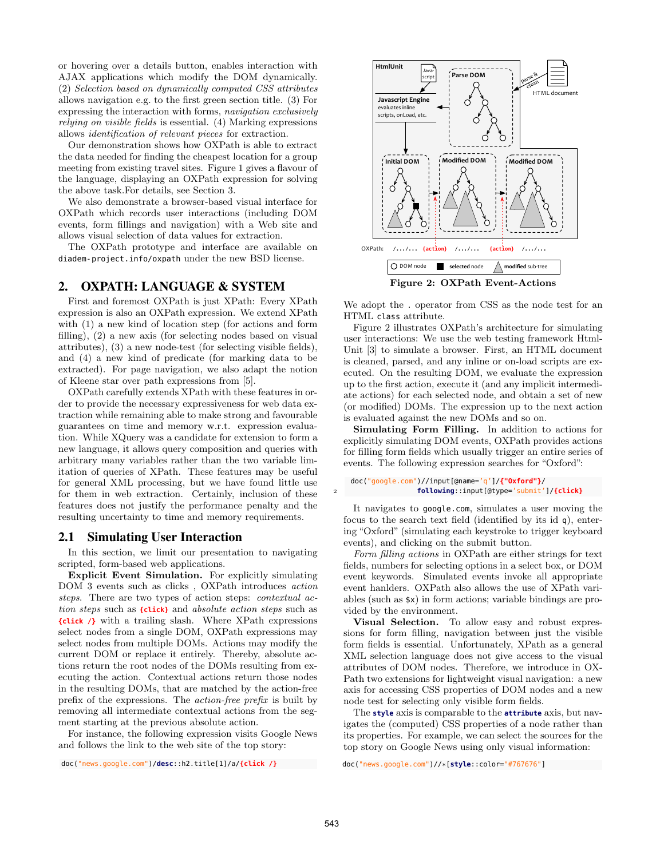or hovering over a details button, enables interaction with AJAX applications which modify the DOM dynamically. (2) Selection based on dynamically computed CSS attributes allows navigation e.g. to the first green section title. (3) For expressing the interaction with forms, navigation exclusively relying on visible fields is essential. (4) Marking expressions allows identification of relevant pieces for extraction.

Our demonstration shows how OXPath is able to extract the data needed for finding the cheapest location for a group meeting from existing travel sites. Figure 1 gives a flavour of the language, displaying an OXPath expression for solving the above task.For details, see Section 3.

We also demonstrate a browser-based visual interface for OXPath which records user interactions (including DOM events, form fillings and navigation) with a Web site and allows visual selection of data values for extraction.

The OXPath prototype and interface are available on diadem-project.info/oxpath under the new BSD license.

# 2. OXPATH: LANGUAGE & SYSTEM

First and foremost OXPath is just XPath: Every XPath expression is also an OXPath expression. We extend XPath with (1) a new kind of location step (for actions and form filling), (2) a new axis (for selecting nodes based on visual attributes), (3) a new node-test (for selecting visible fields), and (4) a new kind of predicate (for marking data to be extracted). For page navigation, we also adapt the notion of Kleene star over path expressions from [5].

OXPath carefully extends XPath with these features in order to provide the necessary expressiveness for web data extraction while remaining able to make strong and favourable guarantees on time and memory w.r.t. expression evaluation. While XQuery was a candidate for extension to form a new language, it allows query composition and queries with arbitrary many variables rather than the two variable limitation of queries of XPath. These features may be useful for general XML processing, but we have found little use for them in web extraction. Certainly, inclusion of these features does not justify the performance penalty and the resulting uncertainty to time and memory requirements.

#### 2.1 Simulating User Interaction

In this section, we limit our presentation to navigating scripted, form-based web applications.

Explicit Event Simulation. For explicitly simulating DOM 3 events such as clicks , OXPath introduces action steps. There are two types of action steps: *contextual ac*tion steps such as **{click}** and absolute action steps such as **{click /}** with a trailing slash. Where XPath expressions select nodes from a single DOM, OXPath expressions may select nodes from multiple DOMs. Actions may modify the current DOM or replace it entirely. Thereby, absolute actions return the root nodes of the DOMs resulting from executing the action. Contextual actions return those nodes in the resulting DOMs, that are matched by the action-free prefix of the expressions. The action-free prefix is built by removing all intermediate contextual actions from the segment starting at the previous absolute action.

For instance, the following expression visits Google News and follows the link to the web site of the top story:

doc("news.google.com")/**desc**::h2.title[1]/a/**{click /}**



We adopt the . operator from CSS as the node test for an HTML class attribute.

Figure 2 illustrates OXPath's architecture for simulating user interactions: We use the web testing framework Html-Unit [3] to simulate a browser. First, an HTML document is cleaned, parsed, and any inline or on-load scripts are executed. On the resulting DOM, we evaluate the expression up to the first action, execute it (and any implicit intermediate actions) for each selected node, and obtain a set of new (or modified) DOMs. The expression up to the next action is evaluated against the new DOMs and so on.

Simulating Form Filling. In addition to actions for explicitly simulating DOM events, OXPath provides actions for filling form fields which usually trigger an entire series of events. The following expression searches for "Oxford":

#### doc("google.com")//input[@name='q']/**{"Oxford"}**/ 2 **following**::input[@type='submit']/**{click}**

It navigates to google.com, simulates a user moving the focus to the search text field (identified by its id q), entering "Oxford" (simulating each keystroke to trigger keyboard events), and clicking on the submit button.

Form filling actions in OXPath are either strings for text fields, numbers for selecting options in a select box, or DOM event keywords. Simulated events invoke all appropriate event hanlders. OXPath also allows the use of XPath variables (such as \$x) in form actions; variable bindings are provided by the environment.

Visual Selection. To allow easy and robust expressions for form filling, navigation between just the visible form fields is essential. Unfortunately, XPath as a general XML selection language does not give access to the visual attributes of DOM nodes. Therefore, we introduce in OX-Path two extensions for lightweight visual navigation: a new axis for accessing CSS properties of DOM nodes and a new node test for selecting only visible form fields.

The **style** axis is comparable to the **attribute** axis, but navigates the (computed) CSS properties of a node rather than its properties. For example, we can select the sources for the top story on Google News using only visual information:

doc("news.google.com")//\*[**style**::color="#767676"]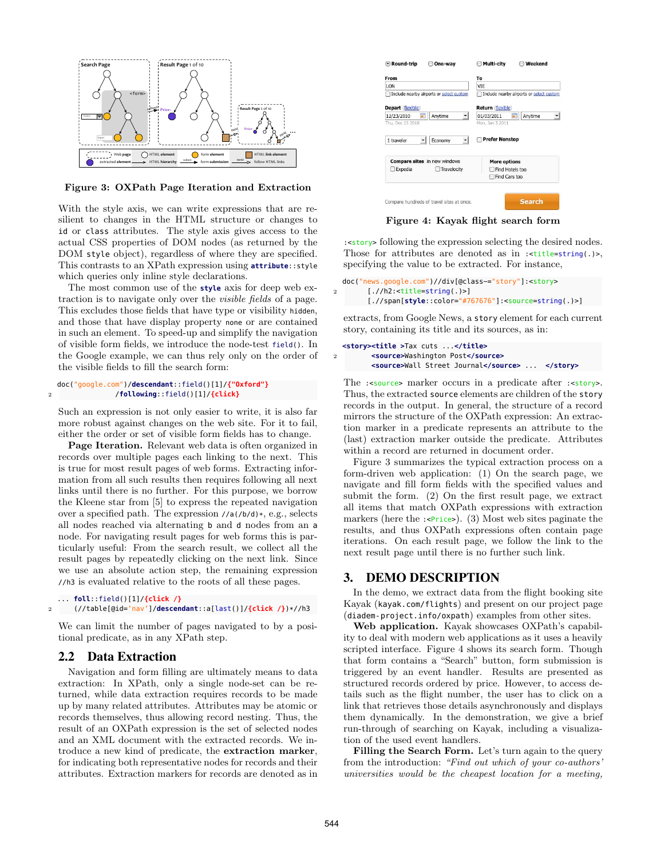

Figure 3: OXPath Page Iteration and Extraction

With the style axis, we can write expressions that are resilient to changes in the HTML structure or changes to id or class attributes. The style axis gives access to the actual CSS properties of DOM nodes (as returned by the DOM style object), regardless of where they are specified. This contrasts to an XPath expression using **attribute**::style which queries only inline style declarations.

The most common use of the **style** axis for deep web extraction is to navigate only over the visible fields of a page. This excludes those fields that have type or visibility hidden, and those that have display property none or are contained in such an element. To speed-up and simplify the navigation of visible form fields, we introduce the node-test field(). In the Google example, we can thus rely only on the order of the visible fields to fill the search form:

```
doc("google.com")/descendant::field()[1]/{"Oxford"}
2 /following::field()[1]/{click}
```
Such an expression is not only easier to write, it is also far more robust against changes on the web site. For it to fail, either the order or set of visible form fields has to change.

Page Iteration. Relevant web data is often organized in records over multiple pages each linking to the next. This is true for most result pages of web forms. Extracting information from all such results then requires following all next links until there is no further. For this purpose, we borrow the Kleene star from [5] to express the repeated navigation over a specified path. The expression //a(/b/d)\*, e.g., selects all nodes reached via alternating b and d nodes from an a node. For navigating result pages for web forms this is particularly useful: From the search result, we collect all the result pages by repeatedly clicking on the next link. Since we use an absolute action step, the remaining expression //h3 is evaluated relative to the roots of all these pages.

```
... foll::field()[1]/{click /}
2 (//table[@id='nav']/descendant::a[last()]/{click /})*//h3
```
We can limit the number of pages navigated to by a positional predicate, as in any XPath step.

#### 2.2 Data Extraction

Navigation and form filling are ultimately means to data extraction: In XPath, only a single node-set can be returned, while data extraction requires records to be made up by many related attributes. Attributes may be atomic or records themselves, thus allowing record nesting. Thus, the result of an OXPath expression is the set of selected nodes and an XML document with the extracted records. We introduce a new kind of predicate, the extraction marker, for indicating both representative nodes for records and their attributes. Extraction markers for records are denoted as in



Figure 4: Kayak flight search form

:<story> following the expression selecting the desired nodes. Those for attributes are denoted as in :<title=string(.)>, specifying the value to be extracted. For instance,

```
doc("news.google.com")//div[@class~="story"]:<story>
2 [.//h2:<title=string(.)>]
       [.//span[style::color="#767676"]:<source=string(.)>]
```
extracts, from Google News, a story element for each current story, containing its title and its sources, as in:

```
<story><title >Tax cuts ...</title>
2 <source>Washington Post</source>
         <source>Wall Street Journal</source> ... </story>
```
The :<source> marker occurs in a predicate after :<story>. Thus, the extracted source elements are children of the story records in the output. In general, the structure of a record mirrors the structure of the OXPath expression: An extraction marker in a predicate represents an attribute to the (last) extraction marker outside the predicate. Attributes within a record are returned in document order.

Figure 3 summarizes the typical extraction process on a form-driven web application: (1) On the search page, we navigate and fill form fields with the specified values and submit the form. (2) On the first result page, we extract all items that match OXPath expressions with extraction markers (here the  $:\langle \text{Price} \rangle$ ). (3) Most web sites paginate the results, and thus OXPath expressions often contain page iterations. On each result page, we follow the link to the next result page until there is no further such link.

## 3. DEMO DESCRIPTION

In the demo, we extract data from the flight booking site Kayak (kayak.com/flights) and present on our project page (diadem-project.info/oxpath) examples from other sites.

Web application. Kayak showcases OXPath's capability to deal with modern web applications as it uses a heavily scripted interface. Figure 4 shows its search form. Though that form contains a "Search" button, form submission is triggered by an event handler. Results are presented as structured records ordered by price. However, to access details such as the flight number, the user has to click on a link that retrieves those details asynchronously and displays them dynamically. In the demonstration, we give a brief run-through of searching on Kayak, including a visualization of the used event handlers.

Filling the Search Form. Let's turn again to the query from the introduction: "Find out which of your co-authors' universities would be the cheapest location for a meeting,